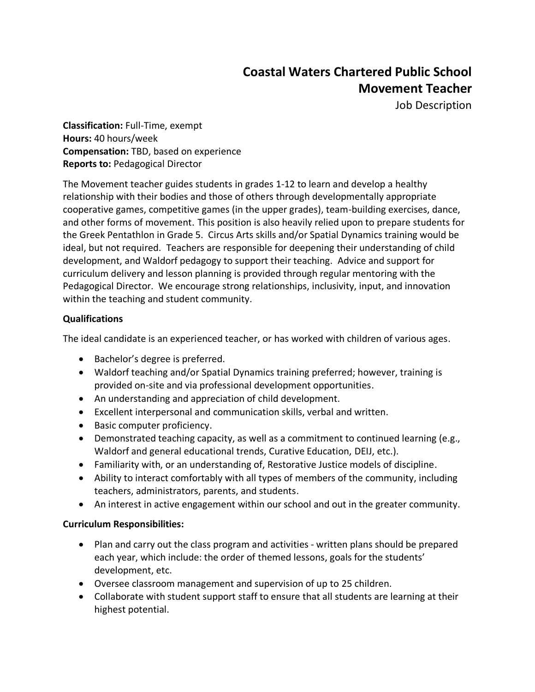# **Coastal Waters Chartered Public School Movement Teacher**

Job Description

**Classification:** Full-Time, exempt **Hours:** 40 hours/week **Compensation:** TBD, based on experience **Reports to:** Pedagogical Director

The Movement teacher guides students in grades 1-12 to learn and develop a healthy relationship with their bodies and those of others through developmentally appropriate cooperative games, competitive games (in the upper grades), team-building exercises, dance, and other forms of movement. This position is also heavily relied upon to prepare students for the Greek Pentathlon in Grade 5. Circus Arts skills and/or Spatial Dynamics training would be ideal, but not required. Teachers are responsible for deepening their understanding of child development, and Waldorf pedagogy to support their teaching. Advice and support for curriculum delivery and lesson planning is provided through regular mentoring with the Pedagogical Director. We encourage strong relationships, inclusivity, input, and innovation within the teaching and student community.

## **Qualifications**

The ideal candidate is an experienced teacher, or has worked with children of various ages.

- Bachelor's degree is preferred.
- Waldorf teaching and/or Spatial Dynamics training preferred; however, training is provided on-site and via professional development opportunities.
- An understanding and appreciation of child development.
- Excellent interpersonal and communication skills, verbal and written.
- Basic computer proficiency.
- Demonstrated teaching capacity, as well as a commitment to continued learning (e.g., Waldorf and general educational trends, Curative Education, DEIJ, etc.).
- Familiarity with, or an understanding of, Restorative Justice models of discipline.
- Ability to interact comfortably with all types of members of the community, including teachers, administrators, parents, and students.
- An interest in active engagement within our school and out in the greater community.

### **Curriculum Responsibilities:**

- Plan and carry out the class program and activities written plans should be prepared each year, which include: the order of themed lessons, goals for the students' development, etc.
- Oversee classroom management and supervision of up to 25 children.
- Collaborate with student support staff to ensure that all students are learning at their highest potential.